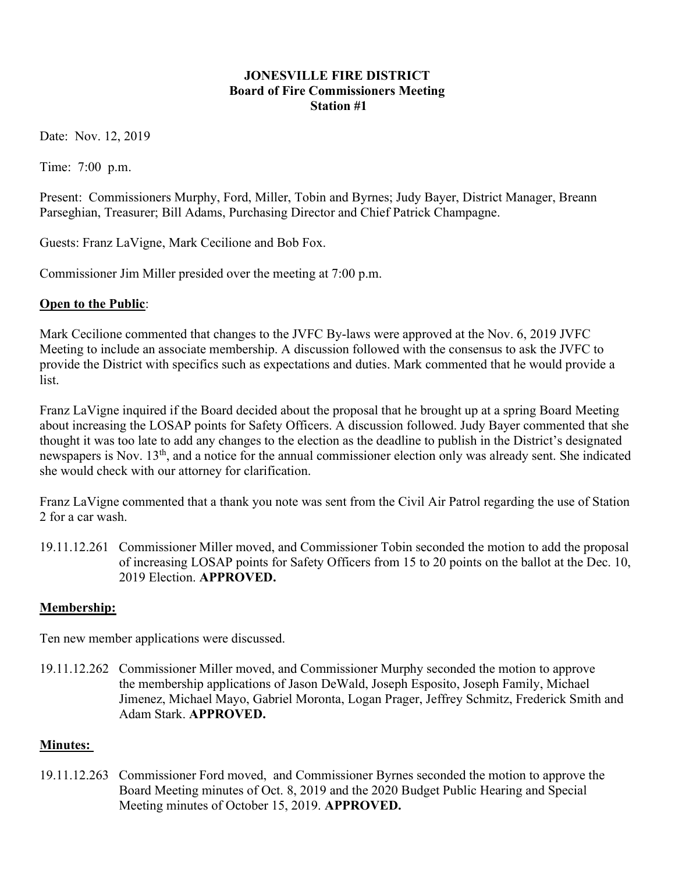#### JONESVILLE FIRE DISTRICT Board of Fire Commissioners Meeting Station #1

Date: Nov. 12, 2019

Time: 7:00 p.m.

Present: Commissioners Murphy, Ford, Miller, Tobin and Byrnes; Judy Bayer, District Manager, Breann Parseghian, Treasurer; Bill Adams, Purchasing Director and Chief Patrick Champagne.

Guests: Franz LaVigne, Mark Cecilione and Bob Fox.

Commissioner Jim Miller presided over the meeting at 7:00 p.m.

# Open to the Public:

Mark Cecilione commented that changes to the JVFC By-laws were approved at the Nov. 6, 2019 JVFC Meeting to include an associate membership. A discussion followed with the consensus to ask the JVFC to provide the District with specifics such as expectations and duties. Mark commented that he would provide a list.

Franz LaVigne inquired if the Board decided about the proposal that he brought up at a spring Board Meeting about increasing the LOSAP points for Safety Officers. A discussion followed. Judy Bayer commented that she thought it was too late to add any changes to the election as the deadline to publish in the District's designated newspapers is Nov. 13th, and a notice for the annual commissioner election only was already sent. She indicated she would check with our attorney for clarification.

Franz LaVigne commented that a thank you note was sent from the Civil Air Patrol regarding the use of Station 2 for a car wash.

19.11.12.261 Commissioner Miller moved, and Commissioner Tobin seconded the motion to add the proposal of increasing LOSAP points for Safety Officers from 15 to 20 points on the ballot at the Dec. 10, 2019 Election. APPROVED.

# Membership:

Ten new member applications were discussed.

19.11.12.262 Commissioner Miller moved, and Commissioner Murphy seconded the motion to approve the membership applications of Jason DeWald, Joseph Esposito, Joseph Family, Michael Jimenez, Michael Mayo, Gabriel Moronta, Logan Prager, Jeffrey Schmitz, Frederick Smith and Adam Stark. APPROVED.

### Minutes:

19.11.12.263 Commissioner Ford moved, and Commissioner Byrnes seconded the motion to approve the Board Meeting minutes of Oct. 8, 2019 and the 2020 Budget Public Hearing and Special Meeting minutes of October 15, 2019. APPROVED.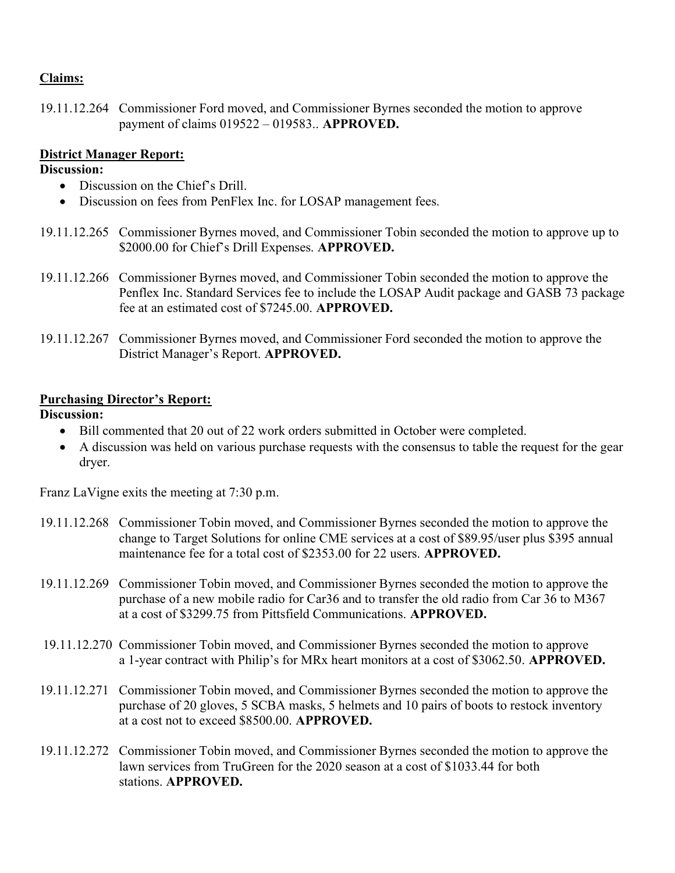### Claims:

19.11.12.264 Commissioner Ford moved, and Commissioner Byrnes seconded the motion to approve payment of claims 019522 – 019583.. APPROVED.

### District Manager Report:

### Discussion:

- Discussion on the Chief's Drill.
- Discussion on fees from PenFlex Inc. for LOSAP management fees.
- 19.11.12.265 Commissioner Byrnes moved, and Commissioner Tobin seconded the motion to approve up to \$2000.00 for Chief's Drill Expenses. APPROVED.
- 19.11.12.266 Commissioner Byrnes moved, and Commissioner Tobin seconded the motion to approve the Penflex Inc. Standard Services fee to include the LOSAP Audit package and GASB 73 package fee at an estimated cost of \$7245.00. APPROVED.
- 19.11.12.267 Commissioner Byrnes moved, and Commissioner Ford seconded the motion to approve the District Manager's Report. APPROVED.

### Purchasing Director's Report:

# Discussion:

- Bill commented that 20 out of 22 work orders submitted in October were completed.
- A discussion was held on various purchase requests with the consensus to table the request for the gear dryer.

Franz LaVigne exits the meeting at 7:30 p.m.

- 19.11.12.268 Commissioner Tobin moved, and Commissioner Byrnes seconded the motion to approve the change to Target Solutions for online CME services at a cost of \$89.95/user plus \$395 annual maintenance fee for a total cost of \$2353.00 for 22 users. APPROVED.
- 19.11.12.269 Commissioner Tobin moved, and Commissioner Byrnes seconded the motion to approve the purchase of a new mobile radio for Car36 and to transfer the old radio from Car 36 to M367 at a cost of \$3299.75 from Pittsfield Communications. APPROVED.
- 19.11.12.270 Commissioner Tobin moved, and Commissioner Byrnes seconded the motion to approve a 1-year contract with Philip's for MRx heart monitors at a cost of \$3062.50. APPROVED.
- 19.11.12.271 Commissioner Tobin moved, and Commissioner Byrnes seconded the motion to approve the purchase of 20 gloves, 5 SCBA masks, 5 helmets and 10 pairs of boots to restock inventory at a cost not to exceed \$8500.00. APPROVED.
- 19.11.12.272 Commissioner Tobin moved, and Commissioner Byrnes seconded the motion to approve the lawn services from TruGreen for the 2020 season at a cost of \$1033.44 for both stations. APPROVED.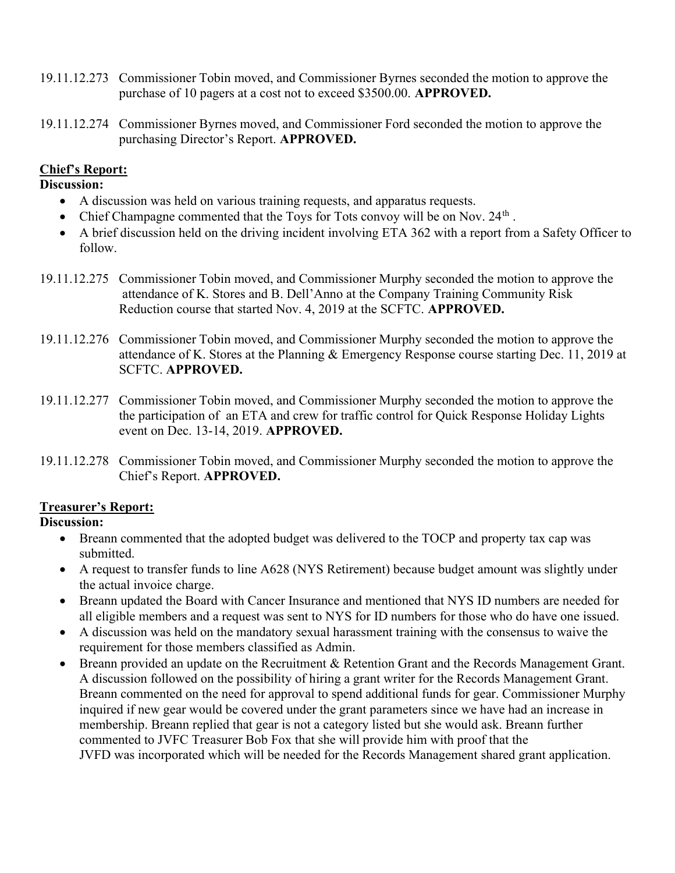- 19.11.12.273 Commissioner Tobin moved, and Commissioner Byrnes seconded the motion to approve the purchase of 10 pagers at a cost not to exceed \$3500.00. APPROVED.
- 19.11.12.274 Commissioner Byrnes moved, and Commissioner Ford seconded the motion to approve the purchasing Director's Report. APPROVED.

# Chief's Report:

#### Discussion:

- A discussion was held on various training requests, and apparatus requests.
- Chief Champagne commented that the Toys for Tots convoy will be on Nov.  $24<sup>th</sup>$ .
- A brief discussion held on the driving incident involving ETA 362 with a report from a Safety Officer to follow.
- 19.11.12.275 Commissioner Tobin moved, and Commissioner Murphy seconded the motion to approve the attendance of K. Stores and B. Dell'Anno at the Company Training Community Risk Reduction course that started Nov. 4, 2019 at the SCFTC. APPROVED.
- 19.11.12.276 Commissioner Tobin moved, and Commissioner Murphy seconded the motion to approve the attendance of K. Stores at the Planning & Emergency Response course starting Dec. 11, 2019 at SCFTC. APPROVED.
- 19.11.12.277 Commissioner Tobin moved, and Commissioner Murphy seconded the motion to approve the the participation of an ETA and crew for traffic control for Quick Response Holiday Lights event on Dec. 13-14, 2019. APPROVED.
- 19.11.12.278 Commissioner Tobin moved, and Commissioner Murphy seconded the motion to approve the Chief's Report. APPROVED.

### Treasurer's Report:

### Discussion:

- Breann commented that the adopted budget was delivered to the TOCP and property tax cap was submitted.
- A request to transfer funds to line A628 (NYS Retirement) because budget amount was slightly under the actual invoice charge.
- Breann updated the Board with Cancer Insurance and mentioned that NYS ID numbers are needed for all eligible members and a request was sent to NYS for ID numbers for those who do have one issued.
- A discussion was held on the mandatory sexual harassment training with the consensus to waive the requirement for those members classified as Admin.
- Breann provided an update on the Recruitment & Retention Grant and the Records Management Grant. A discussion followed on the possibility of hiring a grant writer for the Records Management Grant. Breann commented on the need for approval to spend additional funds for gear. Commissioner Murphy inquired if new gear would be covered under the grant parameters since we have had an increase in membership. Breann replied that gear is not a category listed but she would ask. Breann further commented to JVFC Treasurer Bob Fox that she will provide him with proof that the JVFD was incorporated which will be needed for the Records Management shared grant application.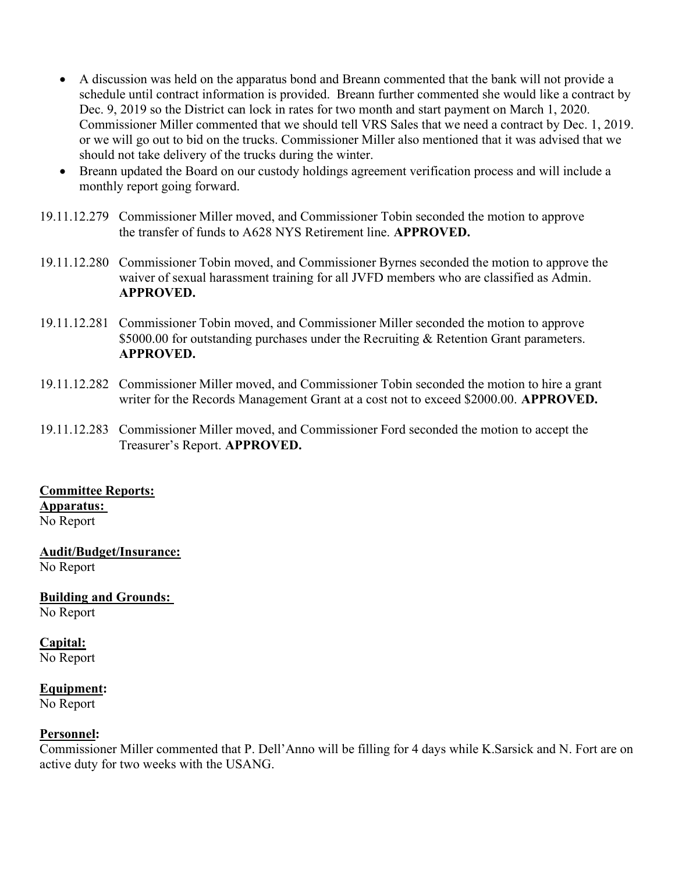- A discussion was held on the apparatus bond and Breann commented that the bank will not provide a schedule until contract information is provided. Breann further commented she would like a contract by Dec. 9, 2019 so the District can lock in rates for two month and start payment on March 1, 2020. Commissioner Miller commented that we should tell VRS Sales that we need a contract by Dec. 1, 2019. or we will go out to bid on the trucks. Commissioner Miller also mentioned that it was advised that we should not take delivery of the trucks during the winter.
- Breann updated the Board on our custody holdings agreement verification process and will include a monthly report going forward.
- 19.11.12.279 Commissioner Miller moved, and Commissioner Tobin seconded the motion to approve the transfer of funds to A628 NYS Retirement line. APPROVED.
- 19.11.12.280 Commissioner Tobin moved, and Commissioner Byrnes seconded the motion to approve the waiver of sexual harassment training for all JVFD members who are classified as Admin. APPROVED.
- 19.11.12.281 Commissioner Tobin moved, and Commissioner Miller seconded the motion to approve \$5000.00 for outstanding purchases under the Recruiting & Retention Grant parameters. APPROVED.
- 19.11.12.282 Commissioner Miller moved, and Commissioner Tobin seconded the motion to hire a grant writer for the Records Management Grant at a cost not to exceed \$2000.00. APPROVED.
- 19.11.12.283 Commissioner Miller moved, and Commissioner Ford seconded the motion to accept the Treasurer's Report. APPROVED.

### Committee Reports:

#### Apparatus:

No Report

### Audit/Budget/Insurance:

No Report

Building and Grounds:

No Report

### Capital:

No Report

#### Equipment:

No Report

### Personnel:

Commissioner Miller commented that P. Dell'Anno will be filling for 4 days while K.Sarsick and N. Fort are on active duty for two weeks with the USANG.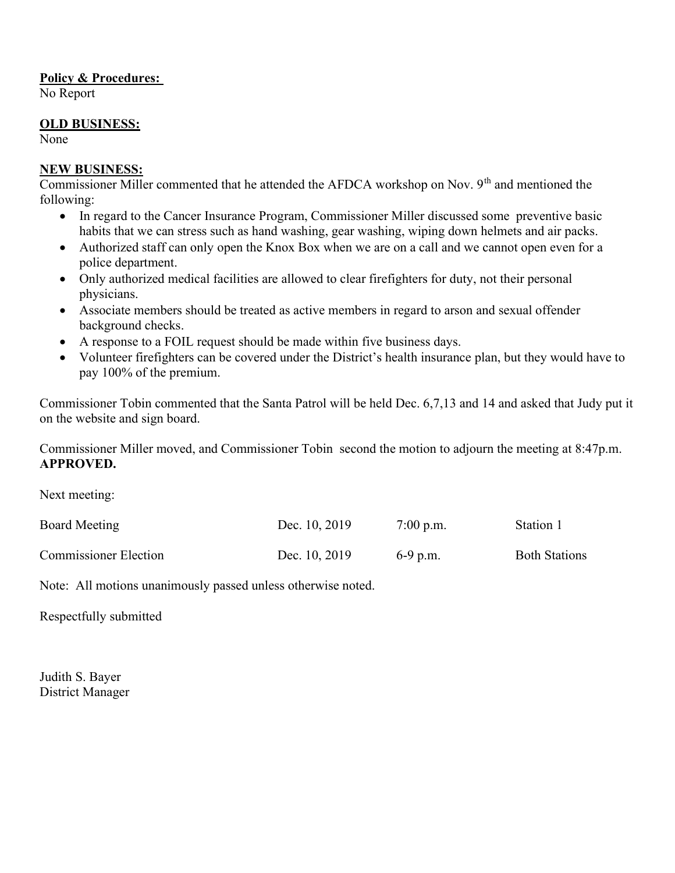#### Policy & Procedures:

No Report

#### OLD BUSINESS:

None

### NEW BUSINESS:

Commissioner Miller commented that he attended the AFDCA workshop on Nov. 9<sup>th</sup> and mentioned the following:

- In regard to the Cancer Insurance Program, Commissioner Miller discussed some preventive basic habits that we can stress such as hand washing, gear washing, wiping down helmets and air packs.
- Authorized staff can only open the Knox Box when we are on a call and we cannot open even for a police department.
- Only authorized medical facilities are allowed to clear firefighters for duty, not their personal physicians.
- Associate members should be treated as active members in regard to arson and sexual offender background checks.
- A response to a FOIL request should be made within five business days.
- Volunteer firefighters can be covered under the District's health insurance plan, but they would have to pay 100% of the premium.

Commissioner Tobin commented that the Santa Patrol will be held Dec. 6,7,13 and 14 and asked that Judy put it on the website and sign board.

Commissioner Miller moved, and Commissioner Tobin second the motion to adjourn the meeting at 8:47p.m. APPROVED.

Next meeting:

| Board Meeting                | Dec. 10, 2019 | $7:00$ p.m. | Station 1            |
|------------------------------|---------------|-------------|----------------------|
| <b>Commissioner Election</b> | Dec. 10, 2019 | $6-9$ p.m.  | <b>Both Stations</b> |

Note: All motions unanimously passed unless otherwise noted.

Respectfully submitted

Judith S. Bayer District Manager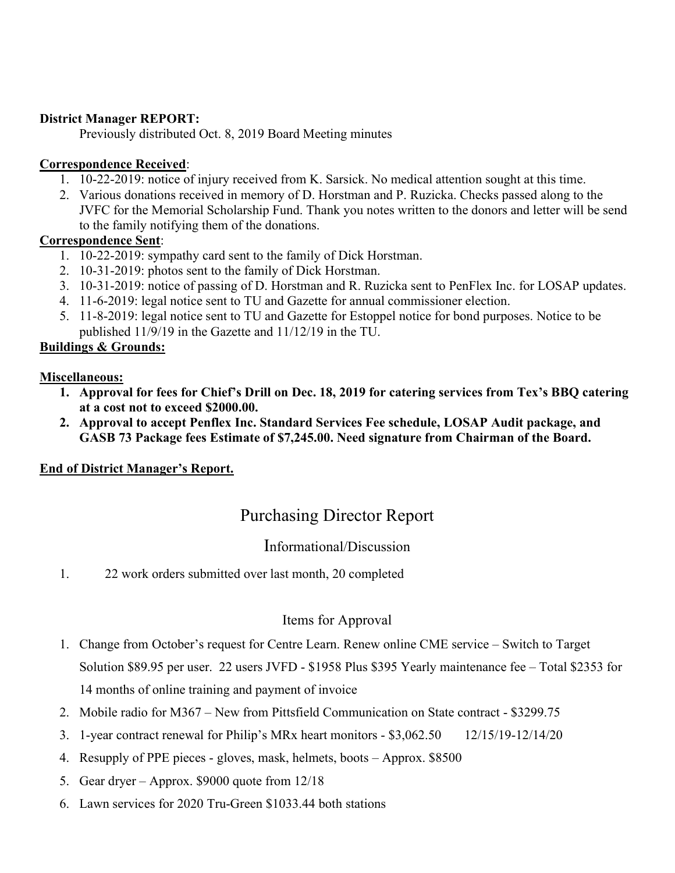#### District Manager REPORT:

Previously distributed Oct. 8, 2019 Board Meeting minutes

#### Correspondence Received:

- 1. 10-22-2019: notice of injury received from K. Sarsick. No medical attention sought at this time.
- 2. Various donations received in memory of D. Horstman and P. Ruzicka. Checks passed along to the JVFC for the Memorial Scholarship Fund. Thank you notes written to the donors and letter will be send to the family notifying them of the donations.

#### Correspondence Sent:

- 1. 10-22-2019: sympathy card sent to the family of Dick Horstman.
- 2. 10-31-2019: photos sent to the family of Dick Horstman.
- 3. 10-31-2019: notice of passing of D. Horstman and R. Ruzicka sent to PenFlex Inc. for LOSAP updates.
- 4. 11-6-2019: legal notice sent to TU and Gazette for annual commissioner election.
- 5. 11-8-2019: legal notice sent to TU and Gazette for Estoppel notice for bond purposes. Notice to be published 11/9/19 in the Gazette and 11/12/19 in the TU.

#### Buildings & Grounds:

#### Miscellaneous:

- 1. Approval for fees for Chief's Drill on Dec. 18, 2019 for catering services from Tex's BBQ catering at a cost not to exceed \$2000.00.
- 2. Approval to accept Penflex Inc. Standard Services Fee schedule, LOSAP Audit package, and GASB 73 Package fees Estimate of \$7,245.00. Need signature from Chairman of the Board.

### End of District Manager's Report.

# Purchasing Director Report

# Informational/Discussion

1. 22 work orders submitted over last month, 20 completed

# Items for Approval

- 1. Change from October's request for Centre Learn. Renew online CME service Switch to Target Solution \$89.95 per user. 22 users JVFD - \$1958 Plus \$395 Yearly maintenance fee – Total \$2353 for 14 months of online training and payment of invoice
- 2. Mobile radio for M367 New from Pittsfield Communication on State contract \$3299.75
- 3. 1-year contract renewal for Philip's MRx heart monitors \$3,062.50 12/15/19-12/14/20
- 4. Resupply of PPE pieces gloves, mask, helmets, boots Approx. \$8500
- 5. Gear dryer Approx. \$9000 quote from 12/18
- 6. Lawn services for 2020 Tru-Green \$1033.44 both stations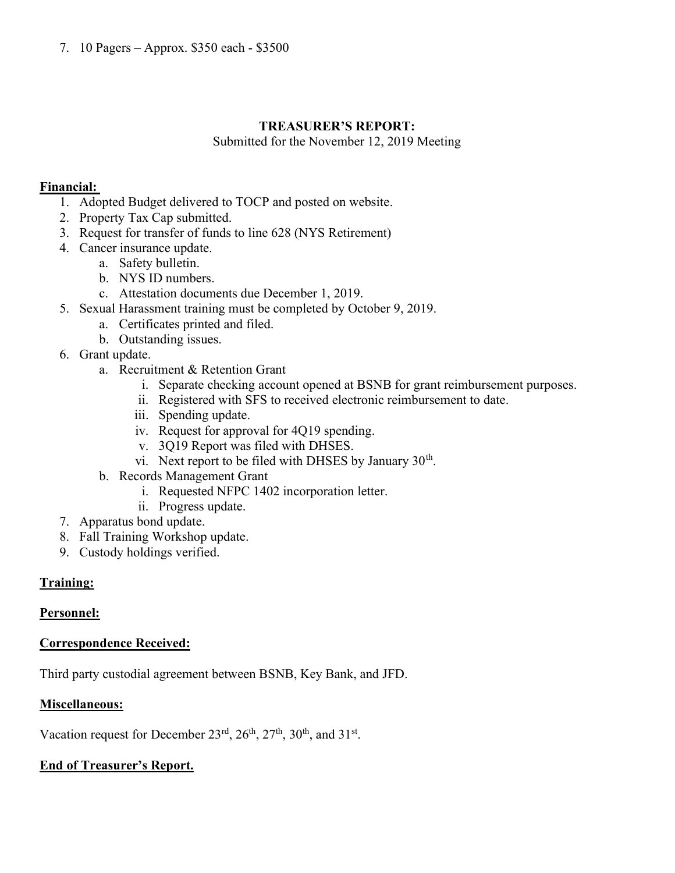# TREASURER'S REPORT:

Submitted for the November 12, 2019 Meeting

### Financial:

- 1. Adopted Budget delivered to TOCP and posted on website.
- 2. Property Tax Cap submitted.
- 3. Request for transfer of funds to line 628 (NYS Retirement)
- 4. Cancer insurance update.
	- a. Safety bulletin.
	- b. NYS ID numbers.
	- c. Attestation documents due December 1, 2019.
- 5. Sexual Harassment training must be completed by October 9, 2019.
	- a. Certificates printed and filed.
	- b. Outstanding issues.
- 6. Grant update.
	- a. Recruitment & Retention Grant
		- i. Separate checking account opened at BSNB for grant reimbursement purposes.
		- ii. Registered with SFS to received electronic reimbursement to date.
		- iii. Spending update.
		- iv. Request for approval for 4Q19 spending.
		- v. 3Q19 Report was filed with DHSES.
		- vi. Next report to be filed with DHSES by January  $30<sup>th</sup>$ .
	- b. Records Management Grant
		- i. Requested NFPC 1402 incorporation letter.
		- ii. Progress update.
- 7. Apparatus bond update.
- 8. Fall Training Workshop update.
- 9. Custody holdings verified.

# Training:

# Personnel:

### Correspondence Received:

Third party custodial agreement between BSNB, Key Bank, and JFD.

### Miscellaneous:

Vacation request for December  $23<sup>rd</sup>$ ,  $26<sup>th</sup>$ ,  $27<sup>th</sup>$ ,  $30<sup>th</sup>$ , and  $31<sup>st</sup>$ .

# End of Treasurer's Report.